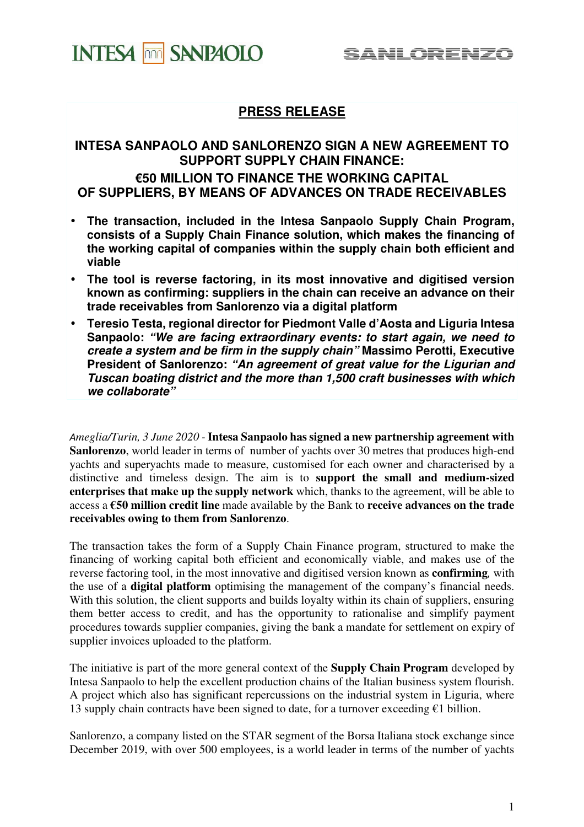## **INTESA FILM SANPAOLO**

## **PRESS RELEASE**

### **INTESA SANPAOLO AND SANLORENZO SIGN A NEW AGREEMENT TO SUPPORT SUPPLY CHAIN FINANCE:**

### **€50 MILLION TO FINANCE THE WORKING CAPITAL OF SUPPLIERS, BY MEANS OF ADVANCES ON TRADE RECEIVABLES**

- **The transaction, included in the Intesa Sanpaolo Supply Chain Program, consists of a Supply Chain Finance solution, which makes the financing of the working capital of companies within the supply chain both efficient and viable**
- **The tool is reverse factoring, in its most innovative and digitised version known as confirming: suppliers in the chain can receive an advance on their trade receivables from Sanlorenzo via a digital platform**
- **Teresio Testa, regional director for Piedmont Valle d'Aosta and Liguria Intesa Sanpaolo: "We are facing extraordinary events: to start again, we need to create a system and be firm in the supply chain" Massimo Perotti, Executive President of Sanlorenzo: "An agreement of great value for the Ligurian and Tuscan boating district and the more than 1,500 craft businesses with which we collaborate"**

*Ameglia/Turin, 3 June 2020 -* **Intesa Sanpaolo has signed a new partnership agreement with Sanlorenzo**, world leader in terms of number of yachts over 30 metres that produces high-end yachts and superyachts made to measure, customised for each owner and characterised by a distinctive and timeless design. The aim is to **support the small and medium-sized enterprises that make up the supply network** which, thanks to the agreement, will be able to access a **€50 million credit line** made available by the Bank to **receive advances on the trade receivables owing to them from Sanlorenzo**.

The transaction takes the form of a Supply Chain Finance program, structured to make the financing of working capital both efficient and economically viable, and makes use of the reverse factoring tool, in the most innovative and digitised version known as **confirming***,* with the use of a **digital platform** optimising the management of the company's financial needs. With this solution, the client supports and builds loyalty within its chain of suppliers, ensuring them better access to credit, and has the opportunity to rationalise and simplify payment procedures towards supplier companies, giving the bank a mandate for settlement on expiry of supplier invoices uploaded to the platform.

The initiative is part of the more general context of the **Supply Chain Program** developed by Intesa Sanpaolo to help the excellent production chains of the Italian business system flourish. A project which also has significant repercussions on the industrial system in Liguria, where 13 supply chain contracts have been signed to date, for a turnover exceeding  $€1$  billion.

Sanlorenzo, a company listed on the STAR segment of the Borsa Italiana stock exchange since December 2019, with over 500 employees, is a world leader in terms of the number of yachts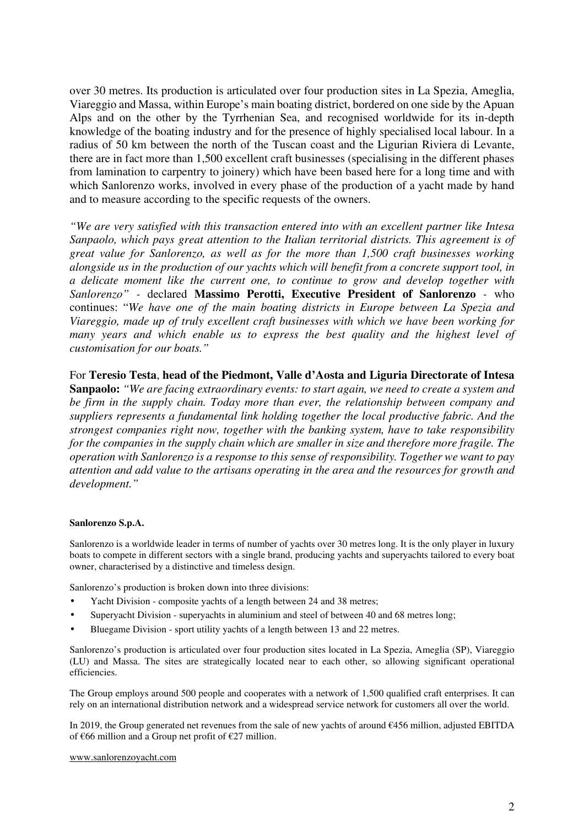over 30 metres. Its production is articulated over four production sites in La Spezia, Ameglia, Viareggio and Massa, within Europe's main boating district, bordered on one side by the Apuan Alps and on the other by the Tyrrhenian Sea, and recognised worldwide for its in-depth knowledge of the boating industry and for the presence of highly specialised local labour. In a radius of 50 km between the north of the Tuscan coast and the Ligurian Riviera di Levante, there are in fact more than 1,500 excellent craft businesses (specialising in the different phases from lamination to carpentry to joinery) which have been based here for a long time and with which Sanlorenzo works, involved in every phase of the production of a yacht made by hand and to measure according to the specific requests of the owners.

*"We are very satisfied with this transaction entered into with an excellent partner like Intesa Sanpaolo, which pays great attention to the Italian territorial districts. This agreement is of great value for Sanlorenzo, as well as for the more than 1,500 craft businesses working alongside us in the production of our yachts which will benefit from a concrete support tool, in a delicate moment like the current one, to continue to grow and develop together with Sanlorenzo" -* declared **Massimo Perotti, Executive President of Sanlorenzo** *-* who continues: "*We have one of the main boating districts in Europe between La Spezia and Viareggio, made up of truly excellent craft businesses with which we have been working for many years and which enable us to express the best quality and the highest level of customisation for our boats."*

For **Teresio Testa**, **head of the Piedmont, Valle d'Aosta and Liguria Directorate of Intesa Sanpaolo:** *"We are facing extraordinary events: to start again, we need to create a system and be firm in the supply chain. Today more than ever, the relationship between company and suppliers represents a fundamental link holding together the local productive fabric. And the strongest companies right now, together with the banking system, have to take responsibility for the companies in the supply chain which are smaller in size and therefore more fragile. The operation with Sanlorenzo is a response to this sense of responsibility. Together we want to pay attention and add value to the artisans operating in the area and the resources for growth and development."*

#### **Sanlorenzo S.p.A.**

Sanlorenzo is a worldwide leader in terms of number of yachts over 30 metres long. It is the only player in luxury boats to compete in different sectors with a single brand, producing yachts and superyachts tailored to every boat owner, characterised by a distinctive and timeless design.

Sanlorenzo's production is broken down into three divisions:

- Yacht Division composite yachts of a length between 24 and 38 metres;
- Superyacht Division superyachts in aluminium and steel of between 40 and 68 metres long;
- Bluegame Division sport utility yachts of a length between 13 and 22 metres.

Sanlorenzo's production is articulated over four production sites located in La Spezia, Ameglia (SP), Viareggio (LU) and Massa. The sites are strategically located near to each other, so allowing significant operational efficiencies.

The Group employs around 500 people and cooperates with a network of 1,500 qualified craft enterprises. It can rely on an international distribution network and a widespread service network for customers all over the world.

In 2019, the Group generated net revenues from the sale of new yachts of around €456 million, adjusted EBITDA of €66 million and a Group net profit of €27 million.

#### www.sanlorenzoyacht.com